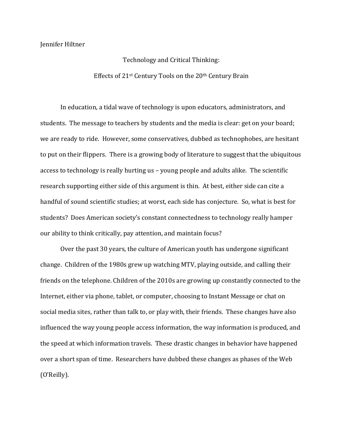Jennifer Hiltner

Technology and Critical Thinking: Effects of  $21$ <sup>st</sup> Century Tools on the  $20$ <sup>th</sup> Century Brain

In education, a tidal wave of technology is upon educators, administrators, and students. The message to teachers by students and the media is clear: get on your board; we are ready to ride. However, some conservatives, dubbed as technophobes, are hesitant to put on their flippers. There is a growing body of literature to suggest that the ubiquitous access to technology is really hurting us - young people and adults alike. The scientific research supporting either side of this argument is thin. At best, either side can cite a handful of sound scientific studies; at worst, each side has conjecture. So, what is best for students? Does American society's constant connectedness to technology really hamper our ability to think critically, pay attention, and maintain focus?

Over the past 30 years, the culture of American youth has undergone significant change. Children of the 1980s grew up watching MTV, playing outside, and calling their friends on the telephone. Children of the 2010s are growing up constantly connected to the Internet, either via phone, tablet, or computer, choosing to Instant Message or chat on social media sites, rather than talk to, or play with, their friends. These changes have also influenced the way young people access information, the way information is produced, and the speed at which information travels. These drastic changes in behavior have happened over a short span of time. Researchers have dubbed these changes as phases of the Web (O'Reilly).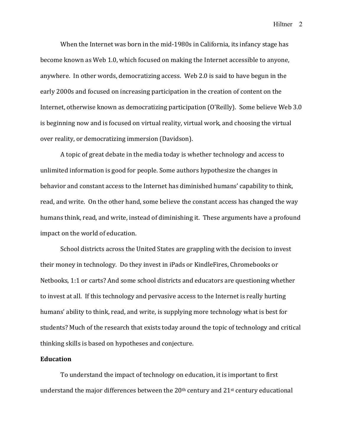When the Internet was born in the mid-1980s in California, its infancy stage has become known as Web 1.0, which focused on making the Internet accessible to anyone, anywhere. In other words, democratizing access. Web 2.0 is said to have begun in the early 2000s and focused on increasing participation in the creation of content on the Internet, otherwise known as democratizing participation (O'Reilly). Some believe Web 3.0 is beginning now and is focused on virtual reality, virtual work, and choosing the virtual over reality, or democratizing immersion (Davidson).

A topic of great debate in the media today is whether technology and access to unlimited information is good for people. Some authors hypothesize the changes in behavior and constant access to the Internet has diminished humans' capability to think, read, and write. On the other hand, some believe the constant access has changed the way humans think, read, and write, instead of diminishing it. These arguments have a profound impact on the world of education.

School districts across the United States are grappling with the decision to invest their money in technology. Do they invest in iPads or KindleFires, Chromebooks or Netbooks, 1:1 or carts? And some school districts and educators are questioning whether to invest at all. If this technology and pervasive access to the Internet is really hurting humans' ability to think, read, and write, is supplying more technology what is best for students? Much of the research that exists today around the topic of technology and critical thinking skills is based on hypotheses and conjecture.

#### **Education**

To understand the impact of technology on education, it is important to first understand the major differences between the  $20<sup>th</sup>$  century and  $21<sup>st</sup>$  century educational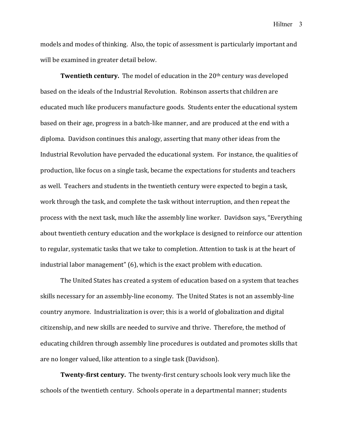models and modes of thinking. Also, the topic of assessment is particularly important and will be examined in greater detail below.

**Twentieth century.** The model of education in the 20<sup>th</sup> century was developed based on the ideals of the Industrial Revolution. Robinson asserts that children are educated much like producers manufacture goods. Students enter the educational system based on their age, progress in a batch-like manner, and are produced at the end with a diploma. Davidson continues this analogy, asserting that many other ideas from the Industrial Revolution have pervaded the educational system. For instance, the qualities of production, like focus on a single task, became the expectations for students and teachers as well. Teachers and students in the twentieth century were expected to begin a task, work through the task, and complete the task without interruption, and then repeat the process with the next task, much like the assembly line worker. Davidson says, "Everything about twentieth century education and the workplace is designed to reinforce our attention to regular, systematic tasks that we take to completion. Attention to task is at the heart of industrial labor management"  $(6)$ , which is the exact problem with education.

The United States has created a system of education based on a system that teaches skills necessary for an assembly-line economy. The United States is not an assembly-line country anymore. Industrialization is over; this is a world of globalization and digital citizenship, and new skills are needed to survive and thrive. Therefore, the method of educating children through assembly line procedures is outdated and promotes skills that are no longer valued, like attention to a single task (Davidson).

**Twenty-first century.** The twenty-first century schools look very much like the schools of the twentieth century. Schools operate in a departmental manner; students

Hiltner 3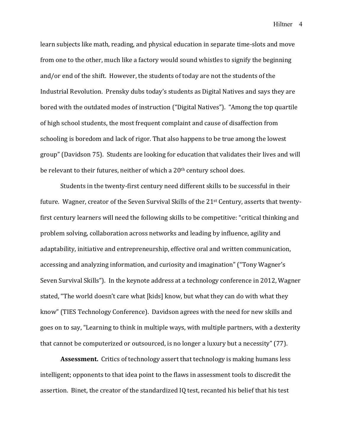learn subjects like math, reading, and physical education in separate time-slots and move from one to the other, much like a factory would sound whistles to signify the beginning and/or end of the shift. However, the students of today are not the students of the Industrial Revolution. Prensky dubs today's students as Digital Natives and says they are bored with the outdated modes of instruction ("Digital Natives"). "Among the top quartile of high school students, the most frequent complaint and cause of disaffection from schooling is boredom and lack of rigor. That also happens to be true among the lowest group" (Davidson 75). Students are looking for education that validates their lives and will be relevant to their futures, neither of which a  $20<sup>th</sup>$  century school does.

Students in the twenty-first century need different skills to be successful in their future. Wagner, creator of the Seven Survival Skills of the 21<sup>st</sup> Century, asserts that twentyfirst century learners will need the following skills to be competitive: "critical thinking and problem solving, collaboration across networks and leading by influence, agility and adaptability, initiative and entrepreneurship, effective oral and written communication, accessing and analyzing information, and curiosity and imagination" ("Tony Wagner's Seven Survival Skills"). In the keynote address at a technology conference in 2012, Wagner stated, "The world doesn't care what [kids] know, but what they can do with what they know" (TIES Technology Conference). Davidson agrees with the need for new skills and goes on to say, "Learning to think in multiple ways, with multiple partners, with a dexterity that cannot be computerized or outsourced, is no longer a luxury but a necessity" (77).

**Assessment.** Critics of technology assert that technology is making humans less intelligent; opponents to that idea point to the flaws in assessment tools to discredit the assertion. Binet, the creator of the standardized IQ test, recanted his belief that his test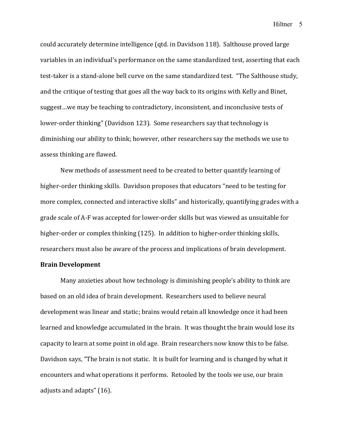could accurately determine intelligence (qtd. in Davidson 118). Salthouse proved large variables in an individual's performance on the same standardized test, asserting that each test-taker is a stand-alone bell curve on the same standardized test. "The Salthouse study, and the critique of testing that goes all the way back to its origins with Kelly and Binet, suggest...we may be teaching to contradictory, inconsistent, and inconclusive tests of lower-order thinking" (Davidson 123). Some researchers say that technology is diminishing our ability to think; however, other researchers say the methods we use to assess thinking are flawed.

New methods of assessment need to be created to better quantify learning of higher-order thinking skills. Davidson proposes that educators "need to be testing for more complex, connected and interactive skills" and historically, quantifying grades with a grade scale of A-F was accepted for lower-order skills but was viewed as unsuitable for higher-order or complex thinking (125). In addition to higher-order thinking skills, researchers must also be aware of the process and implications of brain development.

### **Brain Development**

Many anxieties about how technology is diminishing people's ability to think are based on an old idea of brain development. Researchers used to believe neural development was linear and static; brains would retain all knowledge once it had been learned and knowledge accumulated in the brain. It was thought the brain would lose its capacity to learn at some point in old age. Brain researchers now know this to be false. Davidson says, "The brain is not static. It is built for learning and is changed by what it encounters and what operations it performs. Retooled by the tools we use, our brain adjusts and adapts"  $(16)$ .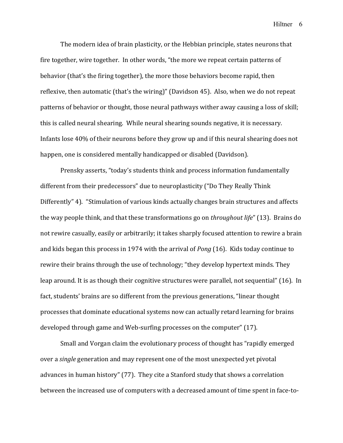The modern idea of brain plasticity, or the Hebbian principle, states neurons that fire together, wire together. In other words, "the more we repeat certain patterns of behavior (that's the firing together), the more those behaviors become rapid, then reflexive, then automatic (that's the wiring)" (Davidson 45). Also, when we do not repeat patterns of behavior or thought, those neural pathways wither away causing a loss of skill; this is called neural shearing. While neural shearing sounds negative, it is necessary. Infants lose  $40\%$  of their neurons before they grow up and if this neural shearing does not happen, one is considered mentally handicapped or disabled (Davidson).

Prensky asserts, "today's students think and process information fundamentally different from their predecessors" due to neuroplasticity ("Do They Really Think Differently" 4). "Stimulation of various kinds actually changes brain structures and affects the way people think, and that these transformations go on *throughout life*" (13). Brains do not rewire casually, easily or arbitrarily; it takes sharply focused attention to rewire a brain and kids began this process in 1974 with the arrival of *Pong* (16). Kids today continue to rewire their brains through the use of technology; "they develop hypertext minds. They leap around. It is as though their cognitive structures were parallel, not sequential" (16). In fact, students' brains are so different from the previous generations, "linear thought processes that dominate educational systems now can actually retard learning for brains developed through game and Web-surfing processes on the computer" (17).

Small and Vorgan claim the evolutionary process of thought has "rapidly emerged over a *single* generation and may represent one of the most unexpected yet pivotal advances in human history" (77). They cite a Stanford study that shows a correlation between the increased use of computers with a decreased amount of time spent in face-to-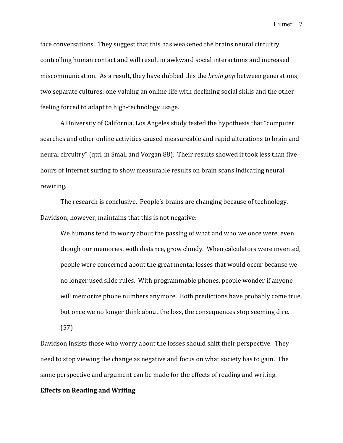face conversations. They suggest that this has weakened the brains neural circuitry controlling human contact and will result in awkward social interactions and increased miscommunication. As a result, they have dubbed this the *brain gap* between generations; two separate cultures: one valuing an online life with declining social skills and the other feeling forced to adapt to high-technology usage.

A University of California, Los Angeles study tested the hypothesis that "computer searches and other online activities caused measureable and rapid alterations to brain and neural circuitry" (qtd. in Small and Vorgan 88). Their results showed it took less than five hours of Internet surfing to show measurable results on brain scans indicating neural rewiring. 

The research is conclusive. People's brains are changing because of technology. Davidson, however, maintains that this is not negative:

We humans tend to worry about the passing of what and who we once were, even though our memories, with distance, grow cloudy. When calculators were invented, people were concerned about the great mental losses that would occur because we no longer used slide rules. With programmable phones, people wonder if anyone will memorize phone numbers anymore. Both predictions have probably come true, but once we no longer think about the loss, the consequences stop seeming dire.

(57)

Davidson insists those who worry about the losses should shift their perspective. They need to stop viewing the change as negative and focus on what society has to gain. The same perspective and argument can be made for the effects of reading and writing.

# **Effects on Reading and Writing**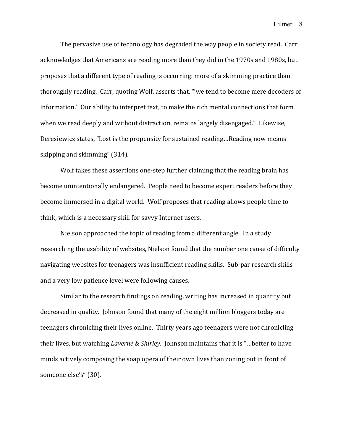The pervasive use of technology has degraded the way people in society read. Carr acknowledges that Americans are reading more than they did in the 1970s and 1980s, but proposes that a different type of reading is occurring: more of a skimming practice than thoroughly reading. Carr, quoting Wolf, asserts that, "'we tend to become mere decoders of information.' Our ability to interpret text, to make the rich mental connections that form when we read deeply and without distraction, remains largely disengaged." Likewise, Deresiewicz states, "Lost is the propensity for sustained reading...Reading now means skipping and skimming" (314).

Wolf takes these assertions one-step further claiming that the reading brain has become unintentionally endangered. People need to become expert readers before they become immersed in a digital world. Wolf proposes that reading allows people time to think, which is a necessary skill for savvy Internet users.

Nielson approached the topic of reading from a different angle. In a study researching the usability of websites, Nielson found that the number one cause of difficulty navigating websites for teenagers was insufficient reading skills. Sub-par research skills and a very low patience level were following causes.

Similar to the research findings on reading, writing has increased in quantity but decreased in quality. Johnson found that many of the eight million bloggers today are teenagers chronicling their lives online. Thirty years ago teenagers were not chronicling their lives, but watching *Laverne & Shirley*. Johnson maintains that it is "...better to have minds actively composing the soap opera of their own lives than zoning out in front of someone else's" (30).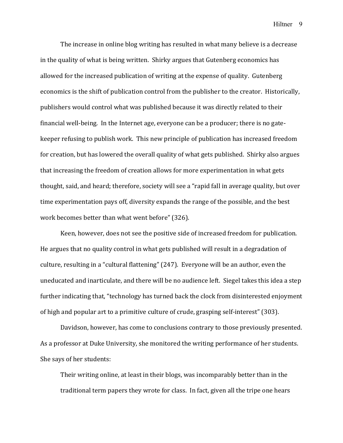The increase in online blog writing has resulted in what many believe is a decrease in the quality of what is being written. Shirky argues that Gutenberg economics has allowed for the increased publication of writing at the expense of quality. Gutenberg economics is the shift of publication control from the publisher to the creator. Historically, publishers would control what was published because it was directly related to their financial well-being. In the Internet age, everyone can be a producer; there is no gatekeeper refusing to publish work. This new principle of publication has increased freedom for creation, but has lowered the overall quality of what gets published. Shirky also argues that increasing the freedom of creation allows for more experimentation in what gets thought, said, and heard; therefore, society will see a "rapid fall in average quality, but over time experimentation pays off, diversity expands the range of the possible, and the best work becomes better than what went before" (326).

Keen, however, does not see the positive side of increased freedom for publication. He argues that no quality control in what gets published will result in a degradation of culture, resulting in a "cultural flattening" (247). Everyone will be an author, even the uneducated and inarticulate, and there will be no audience left. Siegel takes this idea a step further indicating that, "technology has turned back the clock from disinterested enjoyment of high and popular art to a primitive culture of crude, grasping self-interest" (303).

Davidson, however, has come to conclusions contrary to those previously presented. As a professor at Duke University, she monitored the writing performance of her students. She says of her students:

Their writing online, at least in their blogs, was incomparably better than in the traditional term papers they wrote for class. In fact, given all the tripe one hears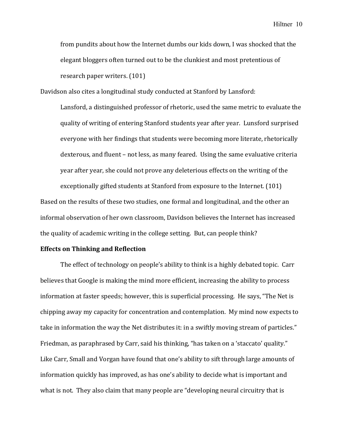from pundits about how the Internet dumbs our kids down. I was shocked that the elegant bloggers often turned out to be the clunkiest and most pretentious of research paper writers. (101)

Davidson also cites a longitudinal study conducted at Stanford by Lansford:

Lansford, a distinguished professor of rhetoric, used the same metric to evaluate the quality of writing of entering Stanford students year after year. Lunsford surprised everyone with her findings that students were becoming more literate, rhetorically dexterous, and fluent – not less, as many feared. Using the same evaluative criteria year after year, she could not prove any deleterious effects on the writing of the

exceptionally gifted students at Stanford from exposure to the Internet. (101) Based on the results of these two studies, one formal and longitudinal, and the other an informal observation of her own classroom, Davidson believes the Internet has increased the quality of academic writing in the college setting. But, can people think?

### **Effects on Thinking and Reflection**

The effect of technology on people's ability to think is a highly debated topic. Carr believes that Google is making the mind more efficient, increasing the ability to process information at faster speeds; however, this is superficial processing. He says, "The Net is chipping away my capacity for concentration and contemplation. My mind now expects to take in information the way the Net distributes it: in a swiftly moving stream of particles." Friedman, as paraphrased by Carr, said his thinking, "has taken on a 'staccato' quality." Like Carr, Small and Vorgan have found that one's ability to sift through large amounts of information quickly has improved, as has one's ability to decide what is important and what is not. They also claim that many people are "developing neural circuitry that is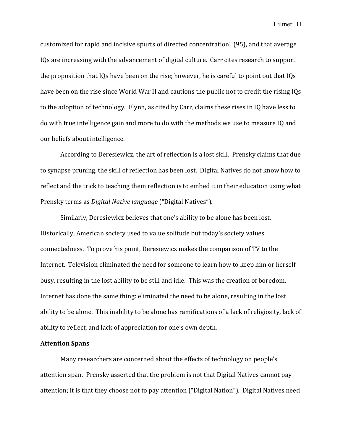customized for rapid and incisive spurts of directed concentration" (95), and that average IQs are increasing with the advancement of digital culture. Carr cites research to support the proposition that  $IQs$  have been on the rise; however, he is careful to point out that  $IQs$ have been on the rise since World War II and cautions the public not to credit the rising IQs to the adoption of technology. Flynn, as cited by Carr, claims these rises in IQ have less to do with true intelligence gain and more to do with the methods we use to measure IQ and our beliefs about intelligence.

According to Deresiewicz, the art of reflection is a lost skill. Prensky claims that due to synapse pruning, the skill of reflection has been lost. Digital Natives do not know how to reflect and the trick to teaching them reflection is to embed it in their education using what Prensky terms as *Digital Native language* ("Digital Natives").

Similarly, Deresiewicz believes that one's ability to be alone has been lost. Historically, American society used to value solitude but today's society values connectedness. To prove his point, Deresiewicz makes the comparison of TV to the Internet. Television eliminated the need for someone to learn how to keep him or herself busy, resulting in the lost ability to be still and idle. This was the creation of boredom. Internet has done the same thing: eliminated the need to be alone, resulting in the lost ability to be alone. This inability to be alone has ramifications of a lack of religiosity, lack of ability to reflect, and lack of appreciation for one's own depth.

# **Attention Spans**

Many researchers are concerned about the effects of technology on people's attention span. Prensky asserted that the problem is not that Digital Natives cannot pay attention; it is that they choose not to pay attention ("Digital Nation"). Digital Natives need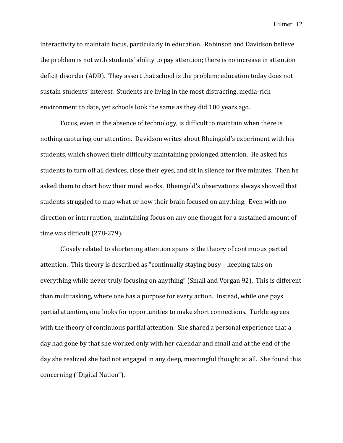interactivity to maintain focus, particularly in education. Robinson and Davidson believe the problem is not with students' ability to pay attention; there is no increase in attention deficit disorder (ADD). They assert that school is the problem; education today does not sustain students' interest. Students are living in the most distracting, media-rich environment to date, yet schools look the same as they did 100 years ago.

Focus, even in the absence of technology, is difficult to maintain when there is nothing capturing our attention. Davidson writes about Rheingold's experiment with his students, which showed their difficulty maintaining prolonged attention. He asked his students to turn off all devices, close their eyes, and sit in silence for five minutes. Then he asked them to chart how their mind works. Rheingold's observations always showed that students struggled to map what or how their brain focused on anything. Even with no direction or interruption, maintaining focus on any one thought for a sustained amount of time was difficult (278-279).

Closely related to shortening attention spans is the theory of continuous partial attention. This theory is described as "continually staying busy – keeping tabs on everything while never truly focusing on anything" (Small and Vorgan 92). This is different than multitasking, where one has a purpose for every action. Instead, while one pays partial attention, one looks for opportunities to make short connections. Turkle agrees with the theory of continuous partial attention. She shared a personal experience that a day had gone by that she worked only with her calendar and email and at the end of the day she realized she had not engaged in any deep, meaningful thought at all. She found this concerning ("Digital Nation").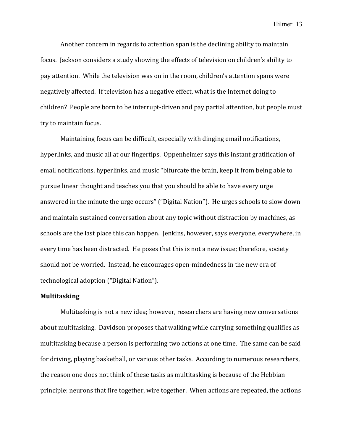Another concern in regards to attention span is the declining ability to maintain focus. Jackson considers a study showing the effects of television on children's ability to pay attention. While the television was on in the room, children's attention spans were negatively affected. If television has a negative effect, what is the Internet doing to children? People are born to be interrupt-driven and pay partial attention, but people must try to maintain focus.

Maintaining focus can be difficult, especially with dinging email notifications, hyperlinks, and music all at our fingertips. Oppenheimer says this instant gratification of email notifications, hyperlinks, and music "bifurcate the brain, keep it from being able to pursue linear thought and teaches you that you should be able to have every urge answered in the minute the urge occurs" ("Digital Nation"). He urges schools to slow down and maintain sustained conversation about any topic without distraction by machines, as schools are the last place this can happen. Jenkins, however, says everyone, everywhere, in every time has been distracted. He poses that this is not a new issue; therefore, society should not be worried. Instead, he encourages open-mindedness in the new era of technological adoption ("Digital Nation").

### **Multitasking**

Multitasking is not a new idea; however, researchers are having new conversations about multitasking. Davidson proposes that walking while carrying something qualifies as multitasking because a person is performing two actions at one time. The same can be said for driving, playing basketball, or various other tasks. According to numerous researchers, the reason one does not think of these tasks as multitasking is because of the Hebbian principle: neurons that fire together, wire together. When actions are repeated, the actions

Hiltner 13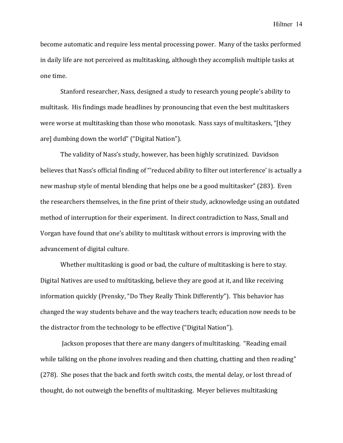become automatic and require less mental processing power. Many of the tasks performed in daily life are not perceived as multitasking, although they accomplish multiple tasks at one time.

Stanford researcher, Nass, designed a study to research young people's ability to multitask. His findings made headlines by pronouncing that even the best multitaskers were worse at multitasking than those who monotask. Nass says of multitaskers, "[they are] dumbing down the world" ("Digital Nation").

The validity of Nass's study, however, has been highly scrutinized. Davidson believes that Nass's official finding of "'reduced ability to filter out interference' is actually a new mashup style of mental blending that helps one be a good multitasker" (283). Even the researchers themselves, in the fine print of their study, acknowledge using an outdated method of interruption for their experiment. In direct contradiction to Nass, Small and Vorgan have found that one's ability to multitask without errors is improving with the advancement of digital culture.

Whether multitasking is good or bad, the culture of multitasking is here to stay. Digital Natives are used to multitasking, believe they are good at it, and like receiving information quickly (Prensky, "Do They Really Think Differently"). This behavior has changed the way students behave and the way teachers teach; education now needs to be the distractor from the technology to be effective ("Digital Nation").

Jackson proposes that there are many dangers of multitasking. "Reading email while talking on the phone involves reading and then chatting, chatting and then reading" (278). She poses that the back and forth switch costs, the mental delay, or lost thread of thought, do not outweigh the benefits of multitasking. Meyer believes multitasking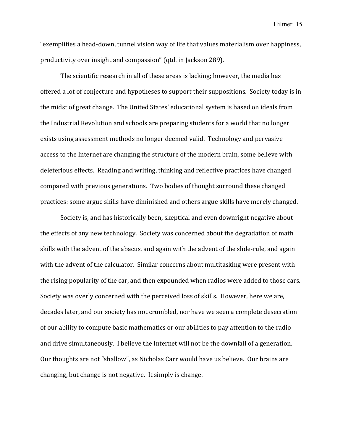"exemplifies a head-down, tunnel vision way of life that values materialism over happiness, productivity over insight and compassion" (qtd. in Jackson 289).

The scientific research in all of these areas is lacking; however, the media has offered a lot of conjecture and hypotheses to support their suppositions. Society today is in the midst of great change. The United States' educational system is based on ideals from the Industrial Revolution and schools are preparing students for a world that no longer exists using assessment methods no longer deemed valid. Technology and pervasive access to the Internet are changing the structure of the modern brain, some believe with deleterious effects. Reading and writing, thinking and reflective practices have changed compared with previous generations. Two bodies of thought surround these changed practices: some argue skills have diminished and others argue skills have merely changed.

Society is, and has historically been, skeptical and even downright negative about the effects of any new technology. Society was concerned about the degradation of math skills with the advent of the abacus, and again with the advent of the slide-rule, and again with the advent of the calculator. Similar concerns about multitasking were present with the rising popularity of the car, and then expounded when radios were added to those cars. Society was overly concerned with the perceived loss of skills. However, here we are, decades later, and our society has not crumbled, nor have we seen a complete desecration of our ability to compute basic mathematics or our abilities to pay attention to the radio and drive simultaneously. I believe the Internet will not be the downfall of a generation. Our thoughts are not "shallow", as Nicholas Carr would have us believe. Our brains are changing, but change is not negative. It simply is change.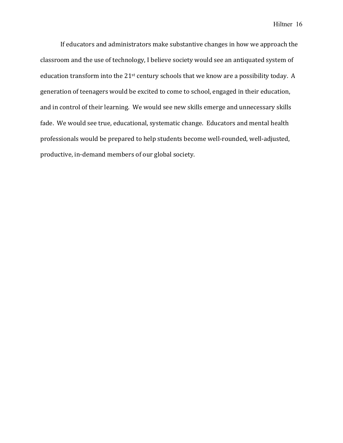If educators and administrators make substantive changes in how we approach the classroom and the use of technology, I believe society would see an antiquated system of education transform into the 21<sup>st</sup> century schools that we know are a possibility today. A generation of teenagers would be excited to come to school, engaged in their education, and in control of their learning. We would see new skills emerge and unnecessary skills fade. We would see true, educational, systematic change. Educators and mental health professionals would be prepared to help students become well-rounded, well-adjusted, productive, in-demand members of our global society.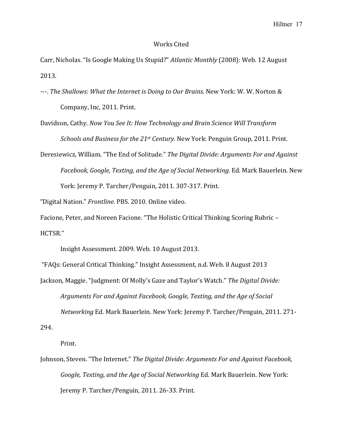#### Works Cited

Carr, Nicholas. "Is Google Making Us Stupid?" *Atlantic Monthly* (2008): Web. 12 August 2013.

---. *The Shallows: What the Internet is Doing to Our Brains.* New York: W. W. Norton & Company, Inc, 2011. Print.

Davidson, Cathy. *Now You See It: How Technology and Brain Science Will Transform Schools and Business for the 21<sup>st</sup> Century.* New York: Penguin Group, 2011. Print.

Deresiewicz, William. "The End of Solitude." *The Digital Divide: Arguments For and Against* Facebook, Google, Texting, and the Age of Social Networking. Ed. Mark Bauerlein. New York: Jeremy P. Tarcher/Penguin, 2011. 307-317. Print.

"Digital Nation." Frontline. PBS. 2010. Online video.

Facione, Peter, and Noreen Facione. "The Holistic Critical Thinking Scoring Rubric -HCTSR."

Insight Assessment. 2009. Web. 10 August 2013.

"FAQs: General Critical Thinking." Insight Assessment, n.d. Web. 8 August 2013

Jackson, Maggie. "Judgment: Of Molly's Gaze and Taylor's Watch." *The Digital Divide:* Arguments For and *Against Facebook, Google, Texting, and the Age of Social* 

*Networking* Ed. Mark Bauerlein. New York: Jeremy P. Tarcher/Penguin, 2011. 271-

294. 

Print.

Johnson, Steven. "The Internet." *The Digital Divide: Arguments For and Against Facebook*, *Google, Texting, and the Age of Social Networking* Ed. Mark Bauerlein. New York: Jeremy P. Tarcher/Penguin, 2011. 26-33. Print.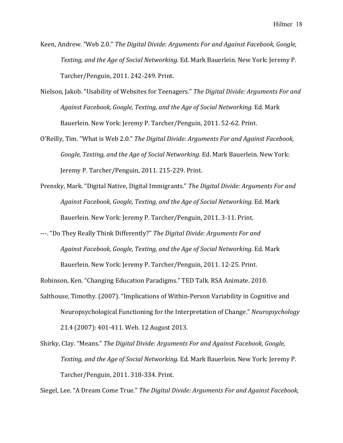- Keen, Andrew. "Web 2.0." *The Digital Divide: Arguments For and Against Facebook, Google, Texting, and the Age of Social Networking.* Ed. Mark Bauerlein. New York: Jeremy P. Tarcher/Penguin, 2011. 242-249. Print.
- Nielson, Jakob. "Usability of Websites for Teenagers." The Digital Divide: Arguments For and Against Facebook, Google, Texting, and the Age of Social Networking. Ed. Mark Bauerlein. New York: Jeremy P. Tarcher/Penguin, 2011. 52-62. Print.
- O'Reilly, Tim. "What is Web 2.0." The Digital Divide: Arguments For and Against Facebook, *Google, Texting, and the Age of Social Networking.* Ed. Mark Bauerlein. New York: Jeremy P. Tarcher/Penguin, 2011. 215-229. Print.
- Prensky, Mark. "Digital Native, Digital Immigrants." The Digital Divide: Arguments For and Against Facebook, Google, Texting, and the Age of Social Networking. Ed. Mark Bauerlein. New York: Jeremy P. Tarcher/Penguin, 2011. 3-11. Print.
- ---. "Do They Really Think Differently?" The Digital Divide: Arguments For and Against Facebook, Google, Texting, and the Age of Social Networking. Ed. Mark Bauerlein. New York: Jeremy P. Tarcher/Penguin, 2011. 12-25. Print.

Robinson, Ken. "Changing Education Paradigms." TED Talk. RSA Animate. 2010.

- Salthouse, Timothy. (2007). "Implications of Within-Person Variability in Cognitive and Neuropsychological Functioning for the Interpretation of Change." *Neuropsychology* 21.4 (2007): 401-411. Web. 12 August 2013.
- Shirky, Clay. "Means." *The Digital Divide: Arguments For and Against Facebook, Google, Texting, and the Age of Social Networking.* Ed. Mark Bauerlein. New York: Jeremy P. Tarcher/Penguin, 2011. 318-334. Print.

Siegel, Lee. "A Dream Come True." *The Digital Divide: Arguments For and Against Facebook*,